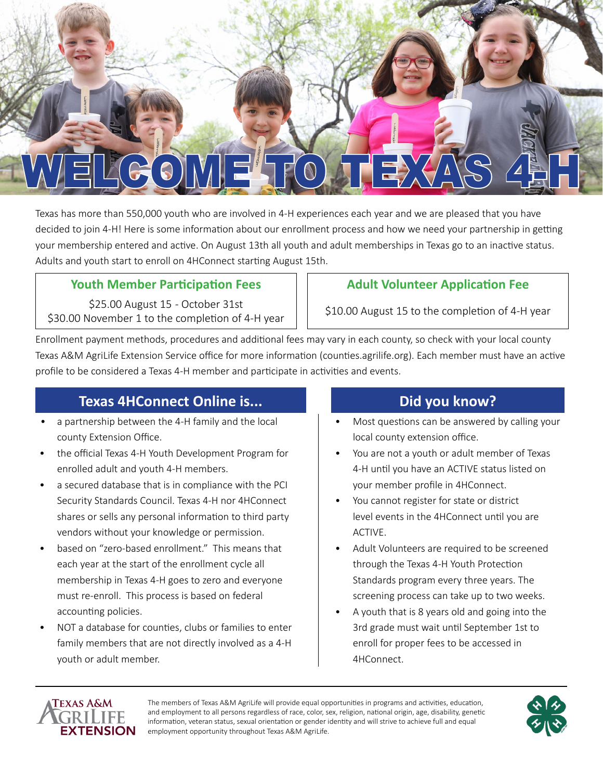

Texas has more than 550,000 youth who are involved in 4-H experiences each year and we are pleased that you have decided to join 4-H! Here is some information about our enrollment process and how we need your partnership in getting your membership entered and active. On August 13th all youth and adult memberships in Texas go to an inactive status. Adults and youth start to enroll on 4HConnect starting August 15th.

### **Youth Member Participation Fees**  $\vert \cdot \vert$  **Adult Volunteer Application Fee**

\$25.00 August 15 - October 31st \$30.00 November 1 to the completion of 4-H year  $\vert$  \$10.00 August 15 to the completion of 4-H year

Enrollment payment methods, procedures and additional fees may vary in each county, so check with your local county Texas A&M AgriLife Extension Service office for more information (counties.agrilife.org). Each member must have an active profile to be considered a Texas 4-H member and participate in activities and events.

## **Texas 4HConnect Online is...**

- a partnership between the 4-H family and the local county Extension Office.
- the official Texas 4-H Youth Development Program for enrolled adult and youth 4-H members.
- a secured database that is in compliance with the PCI Security Standards Council. Texas 4-H nor 4HConnect shares or sells any personal information to third party vendors without your knowledge or permission.
- based on "zero-based enrollment." This means that each year at the start of the enrollment cycle all membership in Texas 4-H goes to zero and everyone must re-enroll. This process is based on federal accounting policies.
- NOT a database for counties, clubs or families to enter family members that are not directly involved as a 4-H youth or adult member.

## **Did you know?**

- Most questions can be answered by calling your local county extension office.
- You are not a youth or adult member of Texas 4-H until you have an ACTIVE status listed on your member profile in 4HConnect.
- You cannot register for state or district level events in the 4HConnect until you are ACTIVE.
- Adult Volunteers are required to be screened through the Texas 4-H Youth Protection Standards program every three years. The screening process can take up to two weeks.
- A youth that is 8 years old and going into the 3rd grade must wait until September 1st to enroll for proper fees to be accessed in 4HConnect.



The members of Texas A&M AgriLife will provide equal opportunities in programs and activities, education, and employment to all persons regardless of race, color, sex, religion, national origin, age, disability, genetic information, veteran status, sexual orientation or gender identity and will strive to achieve full and equal employment opportunity throughout Texas A&M AgriLife.